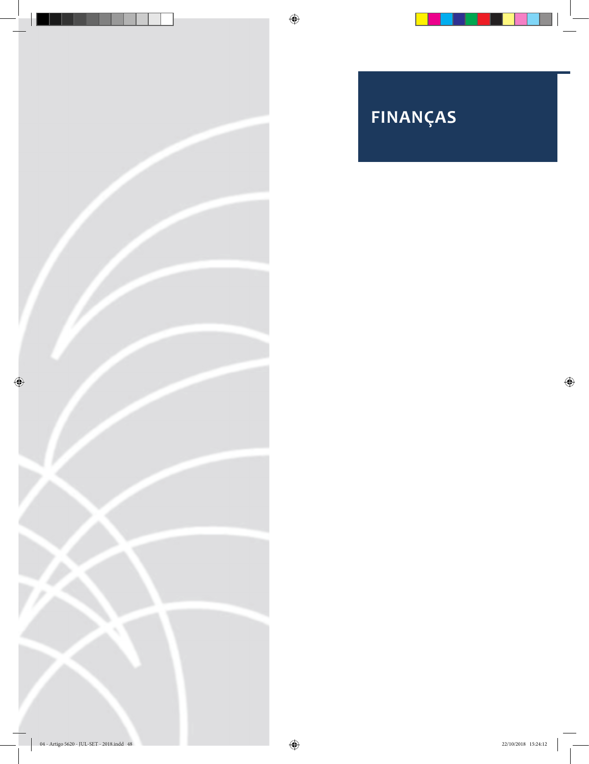

# **FINANÇAS**

 $\bigoplus$ 

 $\bigoplus$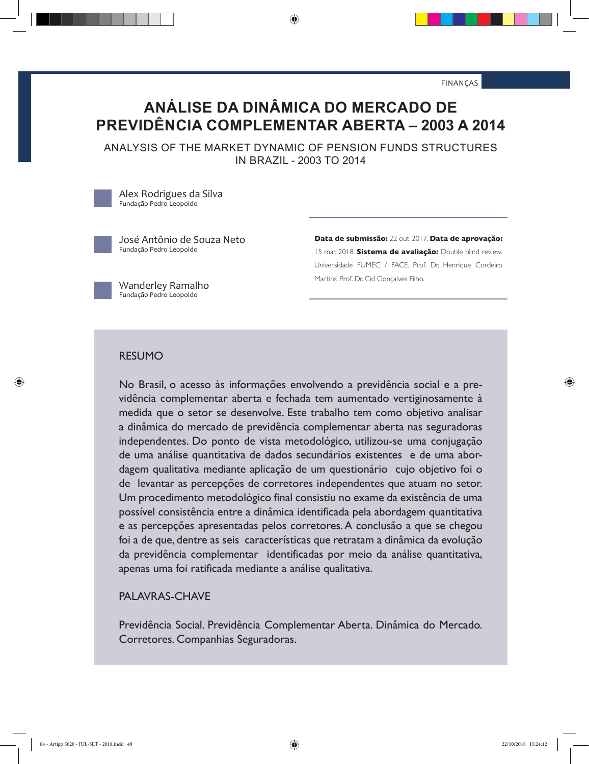FINANÇAS

# **ANÁLISE DA DINÂMICA DO MERCADO DE PREVIDÊNCIA COMPLEMENTAR ABERTA – 2003 A 2014**

⊕

ANALYSIS OF THE MARKET DYNAMIC OF PENSION FUNDS STRUCTURES IN BRAZIL - 2003 TO 2014

Alex Rodrigues da Silva Fundação Pedro Leopoldo

◈

José Antônio de Souza Neto Fundação Pedro Leopoldo

**Data de submissão:** 22 out. 2017. **Data de aprovação:**  15 mar. 2018. **Sistema de avaliação:** Double blind review. Universidade FUMEC / FACE. Prof. Dr. Henrique Cordeiro Martins. Prof. Dr. Cid Gonçalves Filho.

Wanderley Ramalho Fundação Pedro Leopoldo

#### RESUMO

No Brasil, o acesso às informações envolvendo a previdência social e a previdência complementar aberta e fechada tem aumentado vertiginosamente à medida que o setor se desenvolve. Este trabalho tem como objetivo analisar a dinâmica do mercado de previdência complementar aberta nas seguradoras independentes. Do ponto de vista metodológico, utilizou-se uma conjugação de uma análise quantitativa de dados secundários existentes e de uma abordagem qualitativa mediante aplicação de um questionário cujo objetivo foi o de levantar as percepções de corretores independentes que atuam no setor. Um procedimento metodológico final consistiu no exame da existência de uma possível consistência entre a dinâmica identificada pela abordagem quantitativa e as percepções apresentadas pelos corretores. A conclusão a que se chegou foi a de que, dentre as seis características que retratam a dinâmica da evolução da previdência complementar identificadas por meio da análise quantitativa, apenas uma foi ratificada mediante a análise qualitativa.

#### PALAVRAS-CHAVE

Previdência Social. Previdência Complementar Aberta. Dinâmica do Mercado. Corretores. Companhias Seguradoras.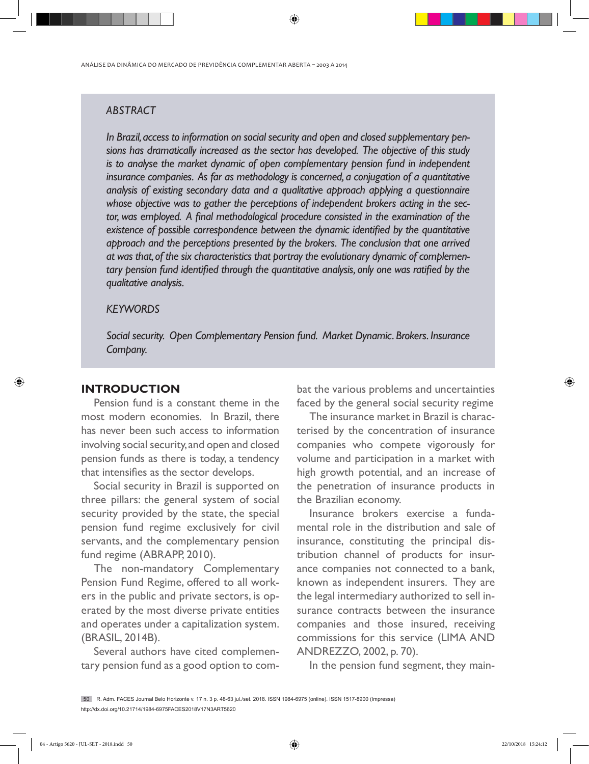ANÁLISE DA DINÂMICA DO MERCADO DE PREVIDÊNCIA COMPLEMENTAR ABERTA – 2003 A 2014

# *ABSTRACT*

*In Brazil, access to information on social security and open and closed supplementary pensions has dramatically increased as the sector has developed. The objective of this study is to analyse the market dynamic of open complementary pension fund in independent insurance companies. As far as methodology is concerned, a conjugation of a quantitative analysis of existing secondary data and a qualitative approach applying a questionnaire whose objective was to gather the perceptions of independent brokers acting in the sector, was employed. A final methodological procedure consisted in the examination of the existence of possible correspondence between the dynamic identified by the quantitative approach and the perceptions presented by the brokers. The conclusion that one arrived at was that, of the six characteristics that portray the evolutionary dynamic of complementary pension fund identified through the quantitative analysis, only one was ratified by the qualitative analysis.* 

⊕

#### *KEYWORDS*

*Social security. Open Complementary Pension fund. Market Dynamic. Brokers. Insurance Company.*

### **INTRODUCTION**

◈

Pension fund is a constant theme in the most modern economies. In Brazil, there has never been such access to information involving social security, and open and closed pension funds as there is today, a tendency that intensifies as the sector develops.

Social security in Brazil is supported on three pillars: the general system of social security provided by the state, the special pension fund regime exclusively for civil servants, and the complementary pension fund regime (ABRAPP, 2010).

The non-mandatory Complementary Pension Fund Regime, offered to all workers in the public and private sectors, is operated by the most diverse private entities and operates under a capitalization system. (BRASIL, 2014B).

Several authors have cited complementary pension fund as a good option to combat the various problems and uncertainties faced by the general social security regime

The insurance market in Brazil is characterised by the concentration of insurance companies who compete vigorously for volume and participation in a market with high growth potential, and an increase of the penetration of insurance products in the Brazilian economy.

Insurance brokers exercise a fundamental role in the distribution and sale of insurance, constituting the principal distribution channel of products for insurance companies not connected to a bank, known as independent insurers. They are the legal intermediary authorized to sell insurance contracts between the insurance companies and those insured, receiving commissions for this service (LIMA AND ANDREZZO, 2002, p. 70).

In the pension fund segment, they main-

<sup>50</sup> R. Adm. FACES Journal Belo Horizonte v. 17 n. 3 p. 48-63 jul./set. 2018. ISSN 1984-6975 (online). ISSN 1517-8900 (Impressa) http://dx.doi.org/10.21714/1984-6975FACES2018V17N3ART5620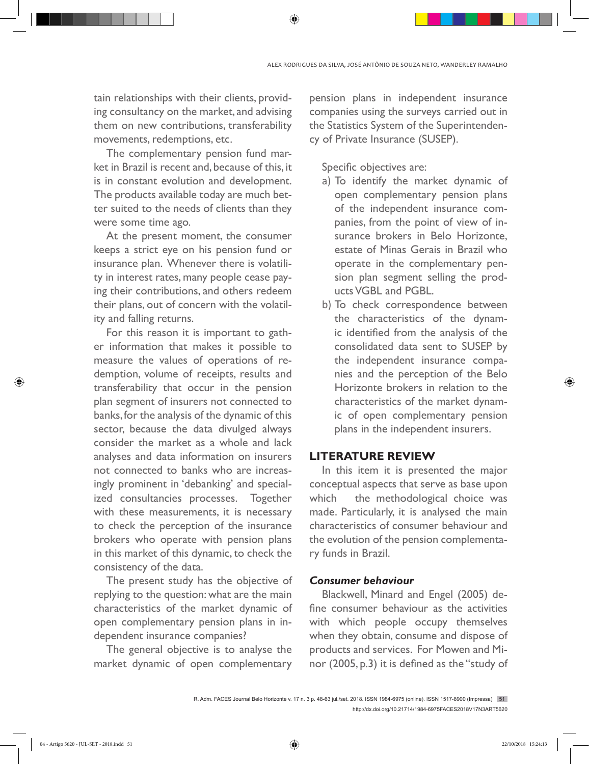tain relationships with their clients, providing consultancy on the market, and advising them on new contributions, transferability movements, redemptions, etc.

The complementary pension fund market in Brazil is recent and, because of this, it is in constant evolution and development. The products available today are much better suited to the needs of clients than they were some time ago.

At the present moment, the consumer keeps a strict eye on his pension fund or insurance plan. Whenever there is volatility in interest rates, many people cease paying their contributions, and others redeem their plans, out of concern with the volatility and falling returns.

For this reason it is important to gather information that makes it possible to measure the values of operations of redemption, volume of receipts, results and transferability that occur in the pension plan segment of insurers not connected to banks, for the analysis of the dynamic of this sector, because the data divulged always consider the market as a whole and lack analyses and data information on insurers not connected to banks who are increasingly prominent in 'debanking' and specialized consultancies processes. Together with these measurements, it is necessary to check the perception of the insurance brokers who operate with pension plans in this market of this dynamic, to check the consistency of the data.

The present study has the objective of replying to the question: what are the main characteristics of the market dynamic of open complementary pension plans in independent insurance companies?

The general objective is to analyse the market dynamic of open complementary

pension plans in independent insurance companies using the surveys carried out in the Statistics System of the Superintendency of Private Insurance (SUSEP).

Specific objectives are:

- a) To identify the market dynamic of open complementary pension plans of the independent insurance companies, from the point of view of insurance brokers in Belo Horizonte, estate of Minas Gerais in Brazil who operate in the complementary pension plan segment selling the products VGBL and PGBL.
- b) To check correspondence between the characteristics of the dynamic identified from the analysis of the consolidated data sent to SUSEP by the independent insurance companies and the perception of the Belo Horizonte brokers in relation to the characteristics of the market dynamic of open complementary pension plans in the independent insurers.

#### **LITERATURE REVIEW**

In this item it is presented the major conceptual aspects that serve as base upon which the methodological choice was made. Particularly, it is analysed the main characteristics of consumer behaviour and the evolution of the pension complementary funds in Brazil.

#### *Consumer behaviour*

Blackwell, Minard and Engel (2005) define consumer behaviour as the activities with which people occupy themselves when they obtain, consume and dispose of products and services. For Mowen and Minor (2005, p.3) it is defined as the "study of

⊕

R. Adm. FACES Journal Belo Horizonte v. 17 n. 3 p. 48-63 jul./set. 2018. ISSN 1984-6975 (online). ISSN 1517-8900 (Impressa) 51 http://dx.doi.org/10.21714/1984-6975FACES2018V17N3ART5620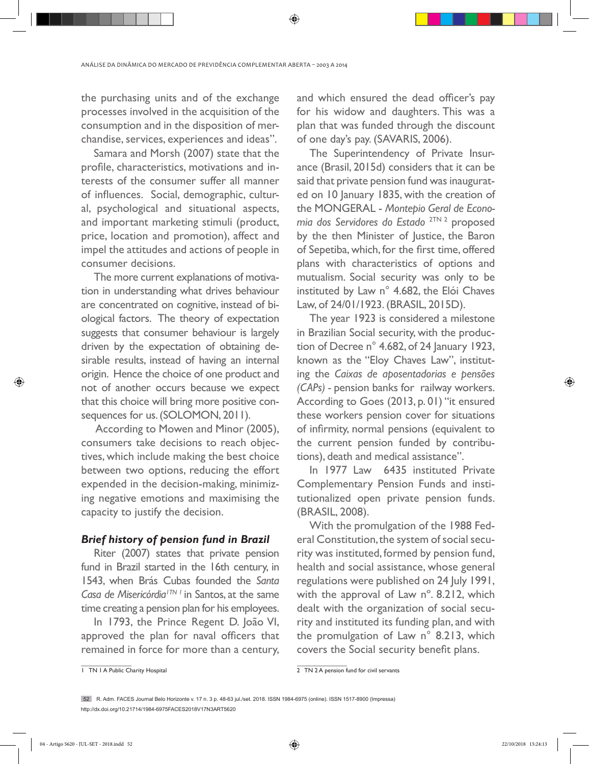the purchasing units and of the exchange processes involved in the acquisition of the consumption and in the disposition of merchandise, services, experiences and ideas".

Samara and Morsh (2007) state that the profile, characteristics, motivations and interests of the consumer suffer all manner of influences. Social, demographic, cultural, psychological and situational aspects, and important marketing stimuli (product, price, location and promotion), affect and impel the attitudes and actions of people in consumer decisions.

The more current explanations of motivation in understanding what drives behaviour are concentrated on cognitive, instead of biological factors. The theory of expectation suggests that consumer behaviour is largely driven by the expectation of obtaining desirable results, instead of having an internal origin. Hence the choice of one product and not of another occurs because we expect that this choice will bring more positive consequences for us. (SOLOMON, 2011).

 According to Mowen and Minor (2005), consumers take decisions to reach objectives, which include making the best choice between two options, reducing the effort expended in the decision-making, minimizing negative emotions and maximising the capacity to justify the decision.

#### *Brief history of pension fund in Brazil*

Riter (2007) states that private pension fund in Brazil started in the 16th century, in 1543, when Brás Cubas founded the *Santa Casa de Misericórdia1TN 1* in Santos, at the same time creating a pension plan for his employees.

In 1793, the Prince Regent D. João VI, approved the plan for naval officers that remained in force for more than a century,

and which ensured the dead officer's pay for his widow and daughters. This was a plan that was funded through the discount of one day's pay. (SAVARIS, 2006).

The Superintendency of Private Insurance (Brasil, 2015d) considers that it can be said that private pension fund was inaugurated on 10 January 1835, with the creation of the MONGERAL - *Montepio Geral de Economia dos Servidores do Estado* 2TN 2 proposed by the then Minister of Justice, the Baron of Sepetiba, which, for the first time, offered plans with characteristics of options and mutualism. Social security was only to be instituted by Law n° 4.682, the Elói Chaves Law, of 24/01/1923. (BRASIL, 2015D).

The year 1923 is considered a milestone in Brazilian Social security, with the production of Decree n° 4.682, of 24 January 1923, known as the "Eloy Chaves Law", instituting the *Caixas de aposentadorias e pensões (CAPs) -* pension banks for railway workers. According to Goes (2013, p. 01) "it ensured these workers pension cover for situations of infirmity, normal pensions (equivalent to the current pension funded by contributions), death and medical assistance".

In 1977 Law 6435 instituted Private Complementary Pension Funds and institutionalized open private pension funds. (BRASIL, 2008).

With the promulgation of the 1988 Federal Constitution, the system of social security was instituted, formed by pension fund, health and social assistance, whose general regulations were published on 24 July 1991, with the approval of Law n°. 8.212, which dealt with the organization of social security and instituted its funding plan, and with the promulgation of Law n° 8.213, which covers the Social security benefit plans.

1 TN 1 A Public Charity Hospital

2 TN 2 A pension fund for civil servants

◈

<sup>52</sup> R. Adm. FACES Journal Belo Horizonte v. 17 n. 3 p. 48-63 jul./set. 2018. ISSN 1984-6975 (online). ISSN 1517-8900 (Impressa) http://dx.doi.org/10.21714/1984-6975FACES2018V17N3ART5620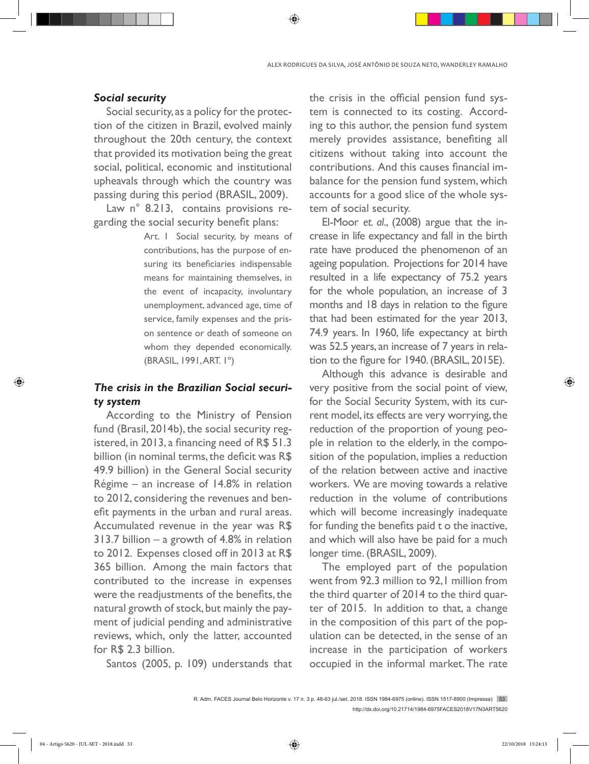#### *Social security*

Social security, as a policy for the protection of the citizen in Brazil, evolved mainly throughout the 20th century, the context that provided its motivation being the great social, political, economic and institutional upheavals through which the country was passing during this period (BRASIL, 2009).

Law n° 8.213, contains provisions regarding the social security benefit plans:

> Art. I Social security, by means of contributions, has the purpose of ensuring its beneficiaries indispensable means for maintaining themselves, in the event of incapacity, involuntary unemployment, advanced age, time of service, family expenses and the prison sentence or death of someone on whom they depended economically. (BRASIL, 1991, ART. 1º)

# *The crisis in the Brazilian Social security system*

According to the Ministry of Pension fund (Brasil, 2014b), the social security registered, in 2013, a financing need of R\$ 51.3 billion (in nominal terms, the deficit was R\$ 49.9 billion) in the General Social security Régime – an increase of 14.8% in relation to 2012, considering the revenues and benefit payments in the urban and rural areas. Accumulated revenue in the year was R\$ 313.7 billion – a growth of 4.8% in relation to 2012. Expenses closed off in 2013 at R\$ 365 billion. Among the main factors that contributed to the increase in expenses were the readjustments of the benefits, the natural growth of stock, but mainly the payment of judicial pending and administrative reviews, which, only the latter, accounted for R\$ 2.3 billion.

Santos (2005, p. 109) understands that

the crisis in the official pension fund system is connected to its costing. According to this author, the pension fund system merely provides assistance, benefiting all citizens without taking into account the contributions. And this causes financial imbalance for the pension fund system, which accounts for a good slice of the whole system of social security.

El-Moor *et. al*., (2008) argue that the increase in life expectancy and fall in the birth rate have produced the phenomenon of an ageing population. Projections for 2014 have resulted in a life expectancy of 75.2 years for the whole population, an increase of 3 months and 18 days in relation to the figure that had been estimated for the year 2013, 74.9 years. In 1960, life expectancy at birth was 52.5 years, an increase of 7 years in relation to the figure for 1940. (BRASIL, 2015E).

Although this advance is desirable and very positive from the social point of view, for the Social Security System, with its current model, its effects are very worrying, the reduction of the proportion of young people in relation to the elderly, in the composition of the population, implies a reduction of the relation between active and inactive workers. We are moving towards a relative reduction in the volume of contributions which will become increasingly inadequate for funding the benefits paid t o the inactive, and which will also have be paid for a much longer time. (BRASIL, 2009).

The employed part of the population went from 92.3 million to 92, I million from the third quarter of 2014 to the third quarter of 2015. In addition to that, a change in the composition of this part of the population can be detected, in the sense of an increase in the participation of workers occupied in the informal market. The rate

◈

R. Adm. FACES Journal Belo Horizonte v. 17 n. 3 p. 48-63 jul./set. 2018. ISSN 1984-6975 (online). ISSN 1517-8900 (Impressa) 53 http://dx.doi.org/10.21714/1984-6975FACES2018V17N3ART5620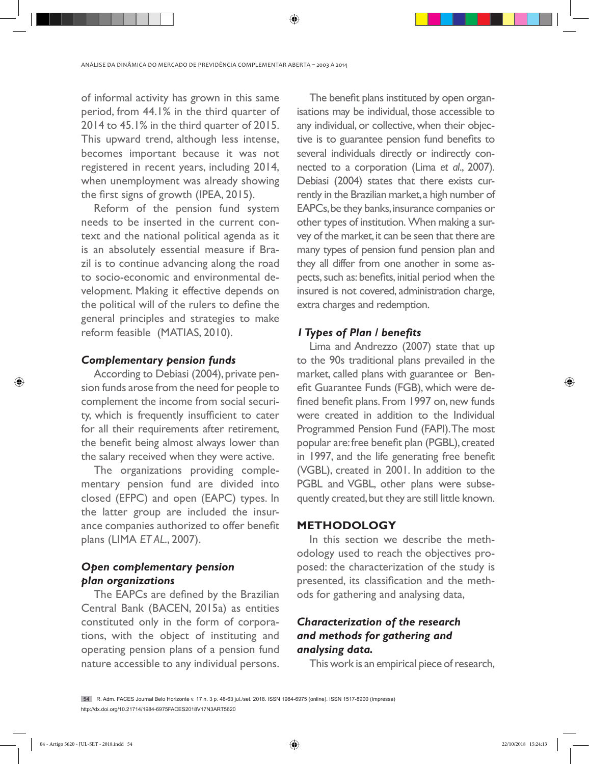of informal activity has grown in this same period, from 44.1% in the third quarter of 2014 to 45.1% in the third quarter of 2015. This upward trend, although less intense, becomes important because it was not registered in recent years, including 2014, when unemployment was already showing the first signs of growth (IPEA, 2015).

Reform of the pension fund system needs to be inserted in the current context and the national political agenda as it is an absolutely essential measure if Brazil is to continue advancing along the road to socio-economic and environmental development. Making it effective depends on the political will of the rulers to define the general principles and strategies to make reform feasible (MATIAS, 2010).

#### *Complementary pension funds*

According to Debiasi (2004), private pension funds arose from the need for people to complement the income from social security, which is frequently insufficient to cater for all their requirements after retirement, the benefit being almost always lower than the salary received when they were active.

The organizations providing complementary pension fund are divided into closed (EFPC) and open (EAPC) types. In the latter group are included the insurance companies authorized to offer benefit plans (LIMA *ET AL*., 2007).

# *Open complementary pension plan organizations*

The EAPCs are defined by the Brazilian Central Bank (BACEN, 2015a) as entities constituted only in the form of corporations, with the object of instituting and operating pension plans of a pension fund nature accessible to any individual persons.

The benefit plans instituted by open organisations may be individual, those accessible to any individual, or collective, when their objective is to guarantee pension fund benefits to several individuals directly or indirectly connected to a corporation (Lima *et al*., 2007). Debiasi (2004) states that there exists currently in the Brazilian market, a high number of EAPCs, be they banks, insurance companies or other types of institution. When making a survey of the market, it can be seen that there are many types of pension fund pension plan and they all differ from one another in some aspects, such as: benefits, initial period when the insured is not covered, administration charge, extra charges and redemption.

#### *1 Types of Plan / benefits*

Lima and Andrezzo (2007) state that up to the 90s traditional plans prevailed in the market, called plans with guarantee or Benefit Guarantee Funds (FGB), which were defined benefit plans. From 1997 on, new funds were created in addition to the Individual Programmed Pension Fund (FAPI). The most popular are: free benefit plan (PGBL), created in 1997, and the life generating free benefit (VGBL), created in 2001. In addition to the PGBL and VGBL, other plans were subsequently created, but they are still little known.

#### **METHODOLOGY**

In this section we describe the methodology used to reach the objectives proposed: the characterization of the study is presented, its classification and the methods for gathering and analysing data,

# *Characterization of the research and methods for gathering and analysing data.*

This work is an empirical piece of research,

54 R. Adm. FACES Journal Belo Horizonte v. 17 n. 3 p. 48-63 jul./set. 2018. ISSN 1984-6975 (online). ISSN 1517-8900 (Impressa) http://dx.doi.org/10.21714/1984-6975FACES2018V17N3ART5620

◈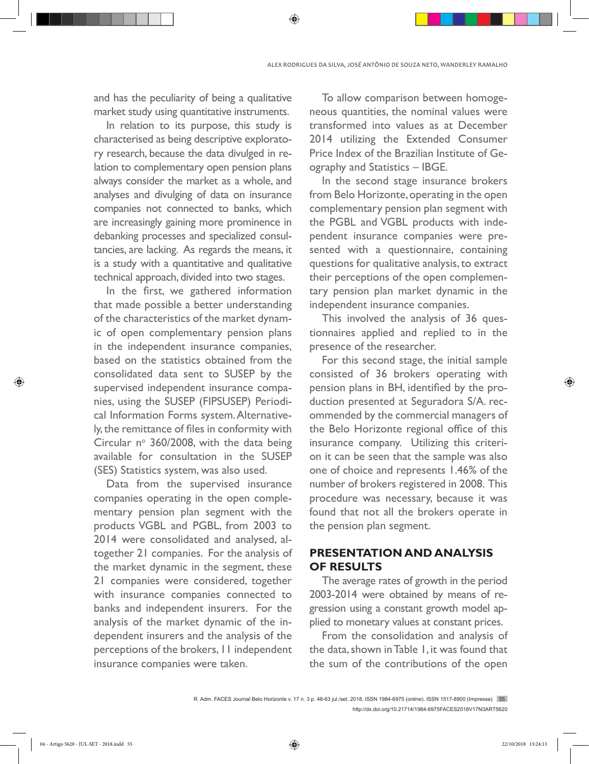and has the peculiarity of being a qualitative market study using quantitative instruments.

In relation to its purpose, this study is characterised as being descriptive exploratory research, because the data divulged in relation to complementary open pension plans always consider the market as a whole, and analyses and divulging of data on insurance companies not connected to banks, which are increasingly gaining more prominence in debanking processes and specialized consultancies, are lacking. As regards the means, it is a study with a quantitative and qualitative technical approach, divided into two stages.

In the first, we gathered information that made possible a better understanding of the characteristics of the market dynamic of open complementary pension plans in the independent insurance companies, based on the statistics obtained from the consolidated data sent to SUSEP by the supervised independent insurance companies, using the SUSEP (FIPSUSEP) Periodical Information Forms system. Alternatively, the remittance of files in conformity with Circular  $n^{\circ}$  360/2008, with the data being available for consultation in the SUSEP (SES) Statistics system, was also used.

Data from the supervised insurance companies operating in the open complementary pension plan segment with the products VGBL and PGBL, from 2003 to 2014 were consolidated and analysed, altogether 21 companies. For the analysis of the market dynamic in the segment, these 21 companies were considered, together with insurance companies connected to banks and independent insurers. For the analysis of the market dynamic of the independent insurers and the analysis of the perceptions of the brokers, 11 independent insurance companies were taken.

To allow comparison between homogeneous quantities, the nominal values were transformed into values as at December 2014 utilizing the Extended Consumer Price Index of the Brazilian Institute of Geography and Statistics – IBGE.

In the second stage insurance brokers from Belo Horizonte, operating in the open complementary pension plan segment with the PGBL and VGBL products with independent insurance companies were presented with a questionnaire, containing questions for qualitative analysis, to extract their perceptions of the open complementary pension plan market dynamic in the independent insurance companies.

This involved the analysis of 36 questionnaires applied and replied to in the presence of the researcher.

For this second stage, the initial sample consisted of 36 brokers operating with pension plans in BH, identified by the production presented at Seguradora S/A. recommended by the commercial managers of the Belo Horizonte regional office of this insurance company. Utilizing this criterion it can be seen that the sample was also one of choice and represents 1.46% of the number of brokers registered in 2008. This procedure was necessary, because it was found that not all the brokers operate in the pension plan segment.

# **PRESENTATION AND ANALYSIS OF RESULTS**

The average rates of growth in the period 2003-2014 were obtained by means of regression using a constant growth model applied to monetary values at constant prices.

From the consolidation and analysis of the data, shown in Table 1, it was found that the sum of the contributions of the open

⊕

R. Adm. FACES Journal Belo Horizonte v. 17 n. 3 p. 48-63 jul./set. 2018. ISSN 1984-6975 (online). ISSN 1517-8900 (Impressa) 55 http://dx.doi.org/10.21714/1984-6975FACES2018V17N3ART5620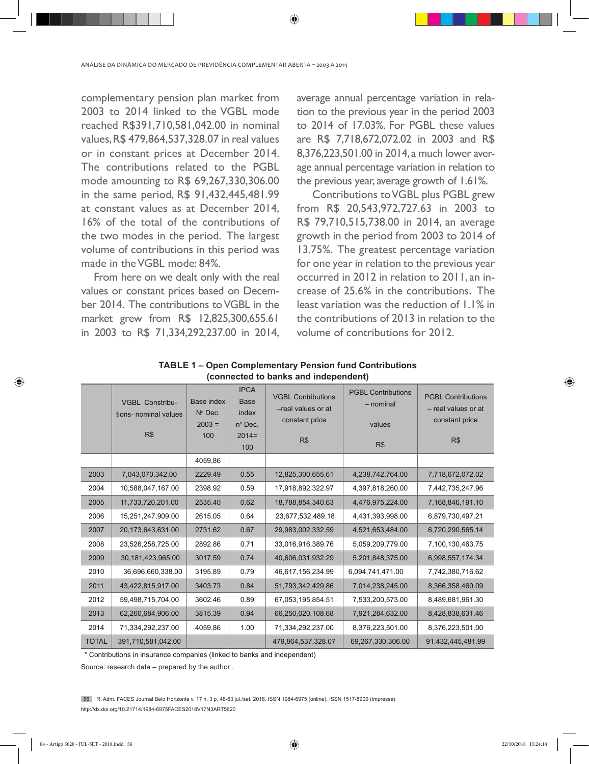complementary pension plan market from 2003 to 2014 linked to the VGBL mode reached R\$391,710,581,042.00 in nominal values, R\$ 479,864,537,328.07 in real values or in constant prices at December 2014. The contributions related to the PGBL mode amounting to R\$ 69,267,330,306.00 in the same period, R\$ 91,432,445,481.99 at constant values as at December 2014, 16% of the total of the contributions of the two modes in the period. The largest volume of contributions in this period was made in the VGBL mode: 84%.

From here on we dealt only with the real values or constant prices based on December 2014. The contributions to VGBL in the market grew from R\$ 12,825,300,655.61 in 2003 to R\$ 71,334,292,237.00 in 2014,

average annual percentage variation in relation to the previous year in the period 2003 to 2014 of 17.03%. For PGBL these values are R\$ 7,718,672,072.02 in 2003 and R\$ 8,376,223,501.00 in 2014, a much lower average annual percentage variation in relation to the previous year, average growth of 1.61%.

 Contributions to VGBL plus PGBL grew from R\$ 20,543,972,727.63 in 2003 to R\$ 79,710,515,738.00 in 2014, an average growth in the period from 2003 to 2014 of 13.75%. The greatest percentage variation for one year in relation to the previous year occurred in 2012 in relation to 2011, an increase of 25.6% in the contributions. The least variation was the reduction of 1.1% in the contributions of 2013 in relation to the volume of contributions for 2012.

|              | <b>VGBL Constribu-</b><br>tions- nominal values<br>R\$ | Base index<br>$N^{\circ}$ Dec.<br>$2003 =$<br>100 | <b>IPCA</b><br><b>Base</b><br>index<br>$n^{\circ}$ Dec.<br>$2014=$<br>100 | <b>VGBL Contributions</b><br>-real values or at<br>constant price<br>R\$ | <b>PGBL Contributions</b><br>- nominal<br>values<br>R\$ | <b>PGBL Contributions</b><br>- real values or at<br>constant price<br>R\$ |
|--------------|--------------------------------------------------------|---------------------------------------------------|---------------------------------------------------------------------------|--------------------------------------------------------------------------|---------------------------------------------------------|---------------------------------------------------------------------------|
|              |                                                        | 4059,86                                           |                                                                           |                                                                          |                                                         |                                                                           |
| 2003         | 7,043,070,342.00                                       | 2229.49                                           | 0.55                                                                      | 12,825,300,655.61                                                        | 4,238,742,764.00                                        | 7,718,672,072.02                                                          |
| 2004         | 10,588,047,167.00                                      | 2398.92                                           | 0.59                                                                      | 17,918,892,322.97                                                        | 4,397,818,260.00                                        | 7,442,735,247.96                                                          |
| 2005         | 11,733,720,201.00                                      | 2535.40                                           | 0.62                                                                      | 18,788,854,340.63                                                        | 4,476,975,224.00                                        | 7,168,846,191.10                                                          |
| 2006         | 15,251,247,909.00                                      | 2615.05                                           | 0.64                                                                      | 23,677,532,489.18                                                        | 4,431,393,998.00                                        | 6,879,730,497.21                                                          |
| 2007         | 20,173,643,631.00                                      | 2731.62                                           | 0.67                                                                      | 29,983,002,332.59                                                        | 4,521,653,484.00                                        | 6,720,290,565.14                                                          |
| 2008         | 23,526,258,725.00                                      | 2892.86                                           | 0.71                                                                      | 33,016,916,389.76                                                        | 5,059,209,779.00                                        | 7,100,130,463.75                                                          |
| 2009         | 30,181,423,965.00                                      | 3017.59                                           | 0.74                                                                      | 40,606,031,932.29                                                        | 5,201,848,375.00                                        | 6,998,557,174.34                                                          |
| 2010         | 36,696,660,338.00                                      | 3195.89                                           | 0.79                                                                      | 46,617,156,234.99                                                        | 6,094,741,471.00                                        | 7,742,380,716.62                                                          |
| 2011         | 43,422,815,917.00                                      | 3403.73                                           | 0.84                                                                      | 51,793,342,429.86                                                        | 7,014,238,245.00                                        | 8,366,358,460.09                                                          |
| 2012         | 59,498,715,704.00                                      | 3602.46                                           | 0.89                                                                      | 67,053,195,854.51                                                        | 7,533,200,573.00                                        | 8,489,681,961.30                                                          |
| 2013         | 62,260,684,906.00                                      | 3815.39                                           | 0.94                                                                      | 66,250,020,108.68                                                        | 7,921,284,632.00                                        | 8,428,838,631.46                                                          |
| 2014         | 71,334,292,237.00                                      | 4059.86                                           | 1.00                                                                      | 71,334,292,237.00                                                        | 8,376,223,501.00                                        | 8,376,223,501.00                                                          |
| <b>TOTAL</b> | 391,710,581,042.00                                     |                                                   |                                                                           | 479,864,537,328.07                                                       | 69,267,330,306.00                                       | 91,432,445,481.99                                                         |

**TABLE 1 – Open Complementary Pension fund Contributions (connected to banks and independent)**

⊕

\* Contributions in insurance companies (linked to banks and independent)

Source: research data – prepared by the author .

56 R. Adm. FACES Journal Belo Horizonte v. 17 n. 3 p. 48-63 jul./set. 2018. ISSN 1984-6975 (online). ISSN 1517-8900 (Impressa) http://dx.doi.org/10.21714/1984-6975FACES2018V17N3ART5620

◈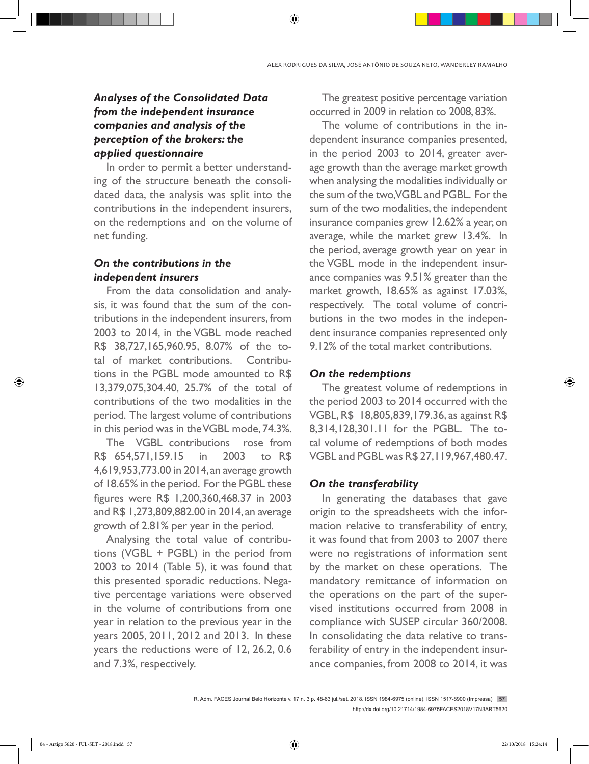# *Analyses of the Consolidated Data from the independent insurance companies and analysis of the perception of the brokers: the applied questionnaire*

In order to permit a better understanding of the structure beneath the consolidated data, the analysis was split into the contributions in the independent insurers, on the redemptions and on the volume of net funding.

# *On the contributions in the independent insurers*

From the data consolidation and analysis, it was found that the sum of the contributions in the independent insurers, from 2003 to 2014, in the VGBL mode reached R\$ 38,727,165,960.95, 8.07% of the total of market contributions. Contributions in the PGBL mode amounted to R\$ 13,379,075,304.40, 25.7% of the total of contributions of the two modalities in the period. The largest volume of contributions in this period was in the VGBL mode, 74.3%.

The VGBL contributions rose from R\$ 654,571,159.15 in 2003 to R\$ 4,619,953,773.00 in 2014, an average growth of 18.65% in the period. For the PGBL these figures were R\$ 1,200,360,468.37 in 2003 and R\$ 1,273,809,882.00 in 2014, an average growth of 2.81% per year in the period.

Analysing the total value of contributions (VGBL + PGBL) in the period from 2003 to 2014 (Table 5), it was found that this presented sporadic reductions. Negative percentage variations were observed in the volume of contributions from one year in relation to the previous year in the years 2005, 2011, 2012 and 2013. In these years the reductions were of 12, 26.2, 0.6 and 7.3%, respectively.

The greatest positive percentage variation occurred in 2009 in relation to 2008, 83%.

The volume of contributions in the independent insurance companies presented, in the period 2003 to 2014, greater average growth than the average market growth when analysing the modalities individually or the sum of the two, VGBL and PGBL. For the sum of the two modalities, the independent insurance companies grew 12.62% a year, on average, while the market grew 13.4%. In the period, average growth year on year in the VGBL mode in the independent insurance companies was 9.51% greater than the market growth, 18.65% as against 17.03%, respectively. The total volume of contributions in the two modes in the independent insurance companies represented only 9.12% of the total market contributions.

#### *On the redemptions*

The greatest volume of redemptions in the period 2003 to 2014 occurred with the VGBL, R\$ 18,805,839,179.36, as against R\$ 8,314,128,301.11 for the PGBL. The total volume of redemptions of both modes VGBL and PGBL was R\$ 27,119,967,480.47.

#### *On the transferability*

In generating the databases that gave origin to the spreadsheets with the information relative to transferability of entry, it was found that from 2003 to 2007 there were no registrations of information sent by the market on these operations. The mandatory remittance of information on the operations on the part of the supervised institutions occurred from 2008 in compliance with SUSEP circular 360/2008. In consolidating the data relative to transferability of entry in the independent insurance companies, from 2008 to 2014, it was

◈

R. Adm. FACES Journal Belo Horizonte v. 17 n. 3 p. 48-63 jul./set. 2018. ISSN 1984-6975 (online). ISSN 1517-8900 (Impressa) 57 http://dx.doi.org/10.21714/1984-6975FACES2018V17N3ART5620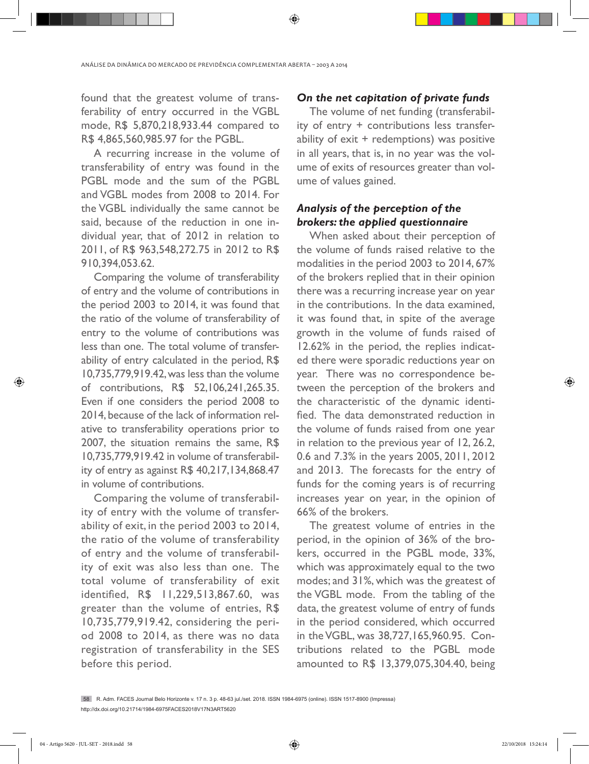found that the greatest volume of transferability of entry occurred in the VGBL mode, R\$ 5,870,218,933.44 compared to R\$ 4,865,560,985.97 for the PGBL.

A recurring increase in the volume of transferability of entry was found in the PGBL mode and the sum of the PGBL and VGBL modes from 2008 to 2014. For the VGBL individually the same cannot be said, because of the reduction in one individual year, that of 2012 in relation to 2011, of R\$ 963,548,272.75 in 2012 to R\$ 910,394,053.62.

Comparing the volume of transferability of entry and the volume of contributions in the period 2003 to 2014, it was found that the ratio of the volume of transferability of entry to the volume of contributions was less than one. The total volume of transferability of entry calculated in the period, R\$ 10,735,779,919.42, was less than the volume of contributions, R\$ 52,106,241,265.35. Even if one considers the period 2008 to 2014, because of the lack of information relative to transferability operations prior to 2007, the situation remains the same, R\$ 10,735,779,919.42 in volume of transferability of entry as against R\$ 40,217,134,868.47 in volume of contributions.

Comparing the volume of transferability of entry with the volume of transferability of exit, in the period 2003 to 2014, the ratio of the volume of transferability of entry and the volume of transferability of exit was also less than one. The total volume of transferability of exit identified, R\$ 11,229,513,867.60, was greater than the volume of entries, R\$ 10,735,779,919.42, considering the period 2008 to 2014, as there was no data registration of transferability in the SES before this period.

#### *On the net capitation of private funds*

The volume of net funding (transferability of entry + contributions less transferability of exit + redemptions) was positive in all years, that is, in no year was the volume of exits of resources greater than volume of values gained.

# *Analysis of the perception of the brokers: the applied questionnaire*

When asked about their perception of the volume of funds raised relative to the modalities in the period 2003 to 2014, 67% of the brokers replied that in their opinion there was a recurring increase year on year in the contributions. In the data examined, it was found that, in spite of the average growth in the volume of funds raised of 12.62% in the period, the replies indicated there were sporadic reductions year on year. There was no correspondence between the perception of the brokers and the characteristic of the dynamic identified. The data demonstrated reduction in the volume of funds raised from one year in relation to the previous year of 12, 26.2, 0.6 and 7.3% in the years 2005, 2011, 2012 and 2013. The forecasts for the entry of funds for the coming years is of recurring increases year on year, in the opinion of 66% of the brokers.

The greatest volume of entries in the period, in the opinion of 36% of the brokers, occurred in the PGBL mode, 33%, which was approximately equal to the two modes; and 31%, which was the greatest of the VGBL mode. From the tabling of the data, the greatest volume of entry of funds in the period considered, which occurred in the VGBL, was 38,727,165,960.95. Contributions related to the PGBL mode amounted to R\$ 13,379,075,304.40, being

◈

<sup>58</sup> R. Adm. FACES Journal Belo Horizonte v. 17 n. 3 p. 48-63 jul./set. 2018. ISSN 1984-6975 (online). ISSN 1517-8900 (Impressa) http://dx.doi.org/10.21714/1984-6975FACES2018V17N3ART5620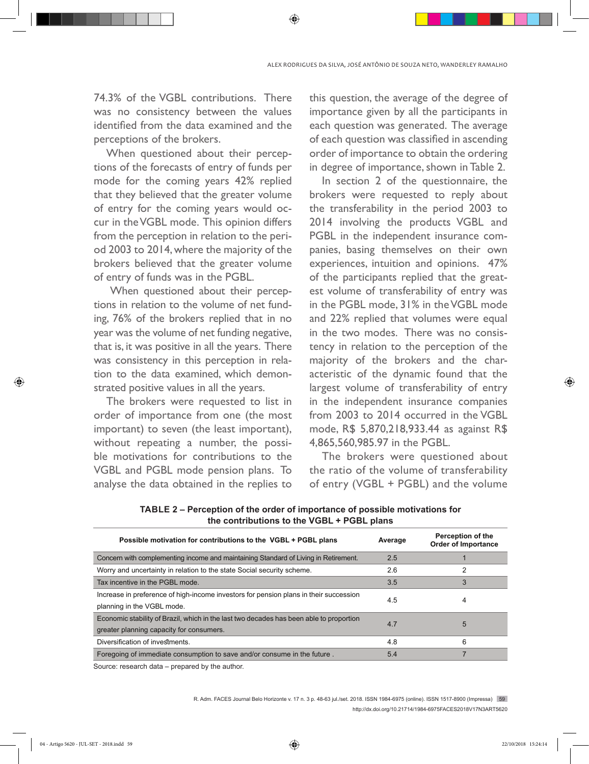74.3% of the VGBL contributions. There was no consistency between the values identified from the data examined and the perceptions of the brokers.

When questioned about their perceptions of the forecasts of entry of funds per mode for the coming years 42% replied that they believed that the greater volume of entry for the coming years would occur in the VGBL mode. This opinion differs from the perception in relation to the period 2003 to 2014, where the majority of the brokers believed that the greater volume of entry of funds was in the PGBL.

 When questioned about their perceptions in relation to the volume of net funding, 76% of the brokers replied that in no year was the volume of net funding negative, that is, it was positive in all the years. There was consistency in this perception in relation to the data examined, which demonstrated positive values in all the years.

The brokers were requested to list in order of importance from one (the most important) to seven (the least important), without repeating a number, the possible motivations for contributions to the VGBL and PGBL mode pension plans. To analyse the data obtained in the replies to

this question, the average of the degree of importance given by all the participants in each question was generated. The average of each question was classified in ascending order of importance to obtain the ordering in degree of importance, shown in Table 2.

In section 2 of the questionnaire, the brokers were requested to reply about the transferability in the period 2003 to 2014 involving the products VGBL and PGBL in the independent insurance companies, basing themselves on their own experiences, intuition and opinions. 47% of the participants replied that the greatest volume of transferability of entry was in the PGBL mode, 31% in the VGBL mode and 22% replied that volumes were equal in the two modes. There was no consistency in relation to the perception of the majority of the brokers and the characteristic of the dynamic found that the largest volume of transferability of entry in the independent insurance companies from 2003 to 2014 occurred in the VGBL mode, R\$ 5,870,218,933.44 as against R\$ 4,865,560,985.97 in the PGBL.

The brokers were questioned about the ratio of the volume of transferability of entry (VGBL + PGBL) and the volume

| Possible motivation for contributions to the VGBL + PGBL plans                                                                      | Average | Perception of the<br><b>Order of Importance</b> |
|-------------------------------------------------------------------------------------------------------------------------------------|---------|-------------------------------------------------|
| Concern with complementing income and maintaining Standard of Living in Retirement.                                                 | 2.5     |                                                 |
| Worry and uncertainty in relation to the state Social security scheme.                                                              | 2.6     |                                                 |
| Tax incentive in the PGBL mode.                                                                                                     | 3.5     |                                                 |
| Increase in preference of high-income investors for pension plans in their succession<br>planning in the VGBL mode.                 | 4.5     | 4                                               |
| Economic stability of Brazil, which in the last two decades has been able to proportion<br>greater planning capacity for consumers. | 4.7     | 5                                               |
| Diversification of investments.                                                                                                     | 4.8     | 6                                               |
| Foregoing of immediate consumption to save and/or consume in the future.                                                            | 5.4     |                                                 |
|                                                                                                                                     |         |                                                 |

**TABLE 2 – Perception of the order of importance of possible motivations for the contributions to the VGBL + PGBL plans**

Source: research data – prepared by the author.

R. Adm. FACES Journal Belo Horizonte v. 17 n. 3 p. 48-63 jul./set. 2018. ISSN 1984-6975 (online). ISSN 1517-8900 (Impressa) 59 http://dx.doi.org/10.21714/1984-6975FACES2018V17N3ART5620

◈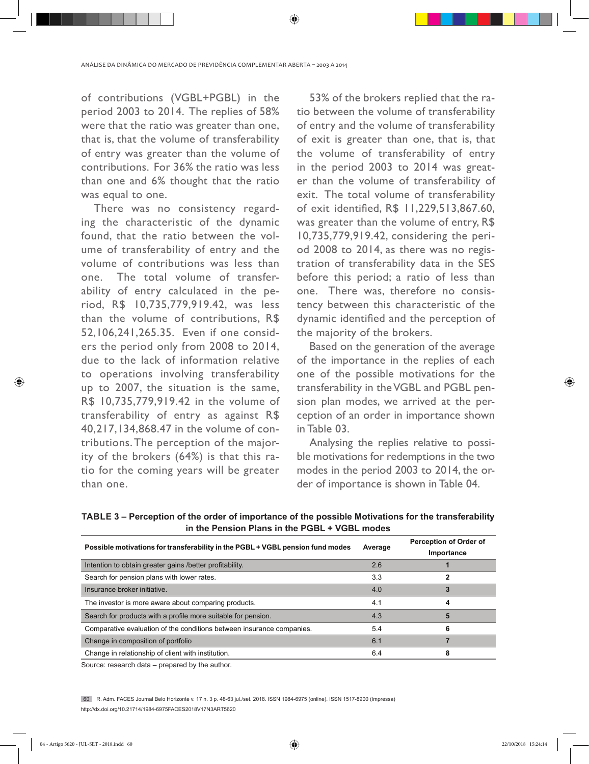ANÁLISE DA DINÂMICA DO MERCADO DE PREVIDÊNCIA COMPLEMENTAR ABERTA – 2003 A 2014

⊕

of contributions (VGBL+PGBL) in the period 2003 to 2014. The replies of 58% were that the ratio was greater than one, that is, that the volume of transferability of entry was greater than the volume of contributions. For 36% the ratio was less than one and 6% thought that the ratio was equal to one.

There was no consistency regarding the characteristic of the dynamic found, that the ratio between the volume of transferability of entry and the volume of contributions was less than one. The total volume of transferability of entry calculated in the period, R\$ 10,735,779,919.42, was less than the volume of contributions, R\$ 52,106,241,265.35. Even if one considers the period only from 2008 to 2014, due to the lack of information relative to operations involving transferability up to 2007, the situation is the same, R\$ 10,735,779,919.42 in the volume of transferability of entry as against R\$ 40,217,134,868.47 in the volume of contributions. The perception of the majority of the brokers (64%) is that this ratio for the coming years will be greater than one.

53% of the brokers replied that the ratio between the volume of transferability of entry and the volume of transferability of exit is greater than one, that is, that the volume of transferability of entry in the period 2003 to 2014 was greater than the volume of transferability of exit. The total volume of transferability of exit identified, R\$ 11,229,513,867.60, was greater than the volume of entry, R\$ 10,735,779,919.42, considering the period 2008 to 2014, as there was no registration of transferability data in the SES before this period; a ratio of less than one. There was, therefore no consistency between this characteristic of the dynamic identified and the perception of the majority of the brokers.

Based on the generation of the average of the importance in the replies of each one of the possible motivations for the transferability in the VGBL and PGBL pension plan modes, we arrived at the perception of an order in importance shown in Table 03.

Analysing the replies relative to possible motivations for redemptions in the two modes in the period 2003 to 2014, the order of importance is shown in Table 04.

| Possible motivations for transferability in the PGBL + VGBL pension fund modes | Average | Perception of Order of<br>Importance |
|--------------------------------------------------------------------------------|---------|--------------------------------------|
| Intention to obtain greater gains /better profitability.                       | 2.6     |                                      |
| Search for pension plans with lower rates.                                     | 3.3     |                                      |
| Insurance broker initiative.                                                   | 4.0     |                                      |
| The investor is more aware about comparing products.                           | 4.1     |                                      |
| Search for products with a profile more suitable for pension.                  | 4.3     | 5                                    |
| Comparative evaluation of the conditions between insurance companies.          | 5.4     | 6                                    |
| Change in composition of portfolio                                             | 6.1     |                                      |
| Change in relationship of client with institution.                             | 6.4     |                                      |

**TABLE 3 – Perception of the order of importance of the possible Motivations for the transferability in the Pension Plans in the PGBL + VGBL modes**

Source: research data – prepared by the author.

60 R. Adm. FACES Journal Belo Horizonte v. 17 n. 3 p. 48-63 jul./set. 2018. ISSN 1984-6975 (online). ISSN 1517-8900 (Impressa) http://dx.doi.org/10.21714/1984-6975FACES2018V17N3ART5620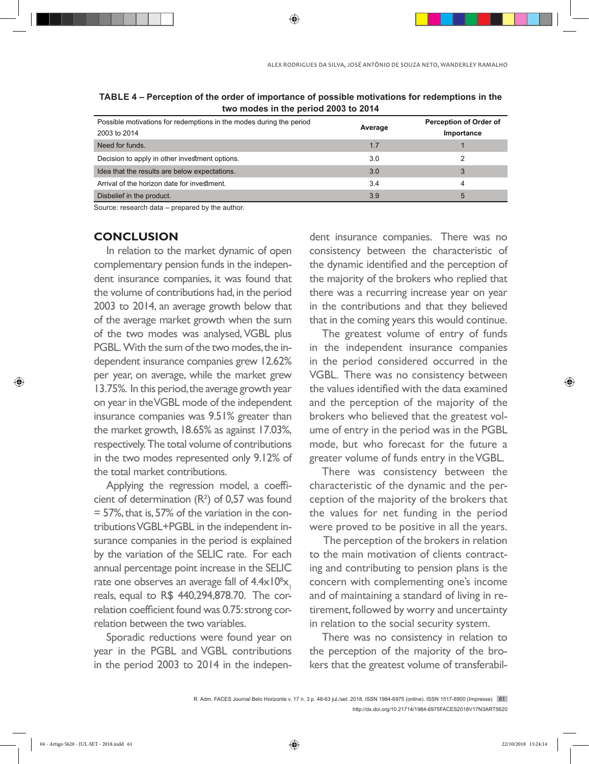| Possible motivations for redemptions in the modes during the period<br>2003 to 2014 | Average | Perception of Order of<br>Importance |  |  |  |
|-------------------------------------------------------------------------------------|---------|--------------------------------------|--|--|--|
| Need for funds.                                                                     | 1.7     |                                      |  |  |  |
| Decision to apply in other investment options.                                      | 3.0     |                                      |  |  |  |
| Idea that the results are below expectations.                                       | 3.0     |                                      |  |  |  |
| Arrival of the horizon date for investment.                                         | 3.4     | 4                                    |  |  |  |
| Disbelief in the product.                                                           | 3.9     | 5                                    |  |  |  |

**TABLE 4 – Perception of the order of importance of possible motivations for redemptions in the two modes in the period 2003 to 2014**

Source: research data – prepared by the author.

# **CONCLUSION**

In relation to the market dynamic of open complementary pension funds in the independent insurance companies, it was found that the volume of contributions had, in the period 2003 to 2014, an average growth below that of the average market growth when the sum of the two modes was analysed, VGBL plus PGBL. With the sum of the two modes, the independent insurance companies grew 12.62% per year, on average, while the market grew 13.75%. In this period, the average growth year on year in the VGBL mode of the independent insurance companies was 9.51% greater than the market growth, 18.65% as against 17.03%, respectively. The total volume of contributions in the two modes represented only 9.12% of the total market contributions.

Applying the regression model, a coefficient of determination (R²) of 0,57 was found = 57%, that is, 57% of the variation in the contributions VGBL+PGBL in the independent insurance companies in the period is explained by the variation of the SELIC rate. For each annual percentage point increase in the SELIC rate one observes an average fall of  $4.4 \times 10^8$ x<sub>1</sub> reals, equal to R\$ 440,294,878.70. The correlation coefficient found was 0.75: strong correlation between the two variables.

Sporadic reductions were found year on year in the PGBL and VGBL contributions in the period 2003 to 2014 in the indepen-

dent insurance companies. There was no consistency between the characteristic of the dynamic identified and the perception of the majority of the brokers who replied that there was a recurring increase year on year in the contributions and that they believed that in the coming years this would continue.

The greatest volume of entry of funds in the independent insurance companies in the period considered occurred in the VGBL. There was no consistency between the values identified with the data examined and the perception of the majority of the brokers who believed that the greatest volume of entry in the period was in the PGBL mode, but who forecast for the future a greater volume of funds entry in the VGBL.

There was consistency between the characteristic of the dynamic and the perception of the majority of the brokers that the values for net funding in the period were proved to be positive in all the years.

 The perception of the brokers in relation to the main motivation of clients contracting and contributing to pension plans is the concern with complementing one's income and of maintaining a standard of living in retirement, followed by worry and uncertainty in relation to the social security system.

There was no consistency in relation to the perception of the majority of the brokers that the greatest volume of transferabil-

◈

R. Adm. FACES Journal Belo Horizonte v. 17 n. 3 p. 48-63 jul./set. 2018. ISSN 1984-6975 (online). ISSN 1517-8900 (Impressa) 61 http://dx.doi.org/10.21714/1984-6975FACES2018V17N3ART5620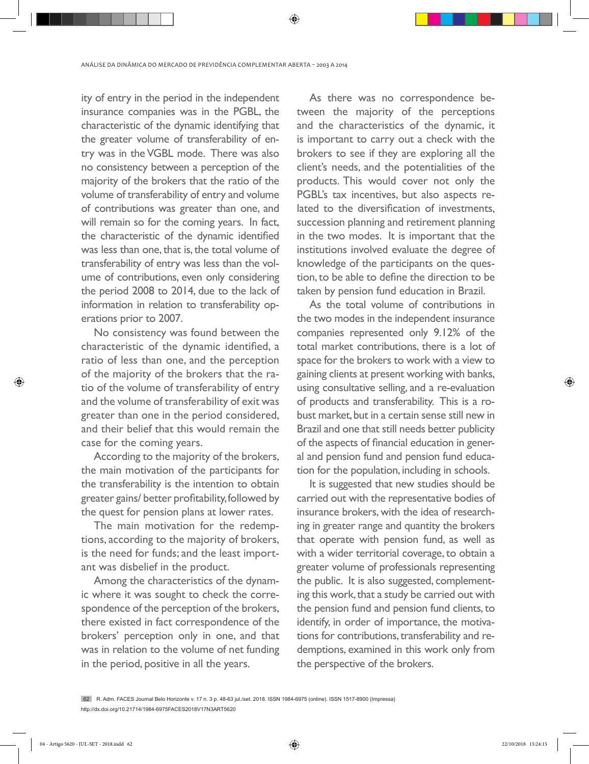ity of entry in the period in the independent insurance companies was in the PGBL, the characteristic of the dynamic identifying that the greater volume of transferability of entry was in the VGBL mode. There was also no consistency between a perception of the majority of the brokers that the ratio of the volume of transferability of entry and volume of contributions was greater than one, and will remain so for the coming years. In fact, the characteristic of the dynamic identified was less than one, that is, the total volume of transferability of entry was less than the volume of contributions, even only considering the period 2008 to 2014, due to the lack of information in relation to transferability operations prior to 2007.

No consistency was found between the characteristic of the dynamic identified, a ratio of less than one, and the perception of the majority of the brokers that the ratio of the volume of transferability of entry and the volume of transferability of exit was greater than one in the period considered, and their belief that this would remain the case for the coming years.

According to the majority of the brokers, the main motivation of the participants for the transferability is the intention to obtain greater gains/ better profitability, followed by the quest for pension plans at lower rates.

The main motivation for the redemptions, according to the majority of brokers, is the need for funds; and the least important was disbelief in the product.

Among the characteristics of the dynamic where it was sought to check the correspondence of the perception of the brokers, there existed in fact correspondence of the brokers' perception only in one, and that was in relation to the volume of net funding in the period, positive in all the years.

As there was no correspondence between the majority of the perceptions and the characteristics of the dynamic, it is important to carry out a check with the brokers to see if they are exploring all the client's needs, and the potentialities of the products. This would cover not only the PGBL's tax incentives, but also aspects related to the diversification of investments, succession planning and retirement planning in the two modes. It is important that the institutions involved evaluate the degree of knowledge of the participants on the question, to be able to define the direction to be taken by pension fund education in Brazil.

As the total volume of contributions in the two modes in the independent insurance companies represented only 9.12% of the total market contributions, there is a lot of space for the brokers to work with a view to gaining clients at present working with banks, using consultative selling, and a re-evaluation of products and transferability. This is a robust market, but in a certain sense still new in Brazil and one that still needs better publicity of the aspects of financial education in general and pension fund and pension fund education for the population, including in schools.

It is suggested that new studies should be carried out with the representative bodies of insurance brokers, with the idea of researching in greater range and quantity the brokers that operate with pension fund, as well as with a wider territorial coverage, to obtain a greater volume of professionals representing the public. It is also suggested, complementing this work, that a study be carried out with the pension fund and pension fund clients, to identify, in order of importance, the motivations for contributions, transferability and redemptions, examined in this work only from the perspective of the brokers.

04 - Artigo 5620 - JUL-SET - 2018.indd 62 22/10/2018 15:24:15

<sup>62</sup> R. Adm. FACES Journal Belo Horizonte v. 17 n. 3 p. 48-63 jul./set. 2018. ISSN 1984-6975 (online). ISSN 1517-8900 (Impressa) http://dx.doi.org/10.21714/1984-6975FACES2018V17N3ART5620